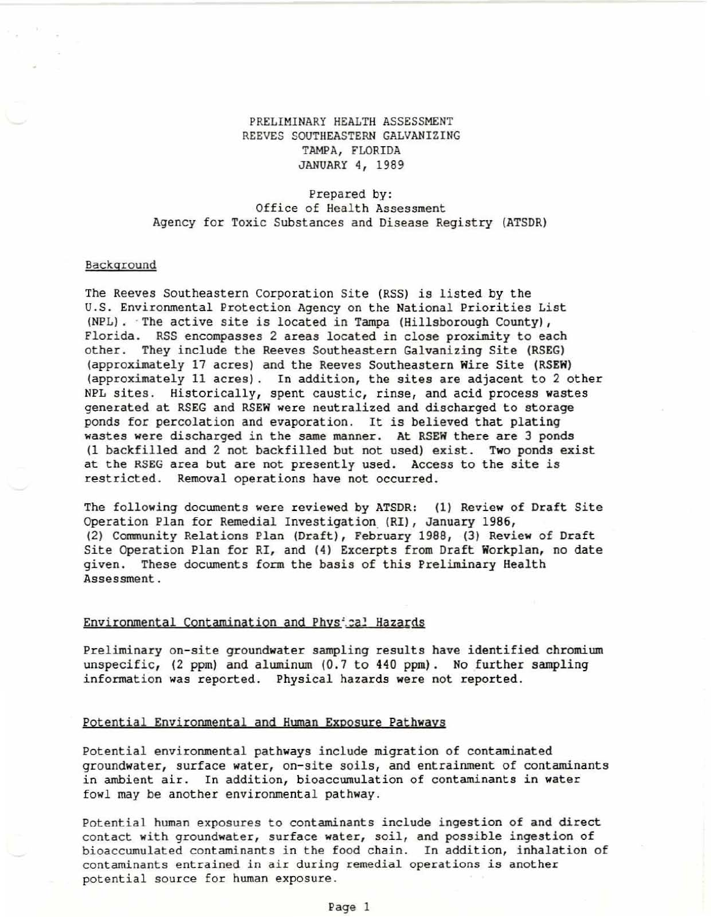# PRELIMINARY HEALTH ASSESSMENT REEVES SOUTHEASTERN GALVANIZING TAMPA, FLORIDA JANUARY 4, 1989

## Prepared by: Office of Health Assessment Agency for Toxic Substances and Disease Registry (ATSDR)

#### Background

The Reeves Southeastern Corporation Site (RSS) is listed by the U.S. Environmental Protection Agency on the National Priorities List (NPL). The active site is located in Tampa (Hillsborough County), Florida. RSS encompasses 2 areas located in close proximity to each other. They include the Reeves Southeastern Galvanizing Site (RSEG) (approximately 17 acres) and the Reeves Southeastern Wire Site (RSEW) (approximately 11 acres). In addition, the sites are adjacent to 2 other NPL sites. Historically, spent caustic, rinse, and acid process wastes generated at RSEG and RSEW were neutralized and discharged to storage ponds for percolation and evaporation. It is believed that plating wastes were discharged in the same manner. At RSEW there are 3 ponds (1 backfilled and 2 not backfilled but not used) exist. Two ponds exist at the RSEG area but are not presently used. Access to the site is restricted. Removal operations have not occurred.

The following documents were reviewed by ATSDR: (1) Review of Draft Site Operation Plan for Remedial Investigation. (RI), January 1986, (2) Community Relations Plan (Draft), February 1988, (3) Review of Draft Site Operation Plan for RI, and (4) Excerpts from Draft Workplan, no date given. These documents form the basis of this Preliminary Health Assessment.

### Environmental Contamination and Phys:cal Hazards

Preliminary on-site groundwater sampling results have identified chromium unspecific, (2 ppm) and aluminum (0.7 to 440 ppm). No further sampling information was reported. Physical hazards were not reported.

# Potential Environmental and Human Exposure Pathways

Potential environmental pathways include migration of contaminated groundwater, surface water, on-site soils, and entrainment of contaminants in ambient air. In addition, bioaccumulation of contaminants in water fowl may be another environmental pathway.

Potential human exposures to contaminants include ingestion of and direct contact with groundwater, surface water, soil, and possible ingestion of bioaccumulated contaminants in the food chain. In addition, inhalation of contaminants entrained in air during remedial operations is another potential source for human exposure.